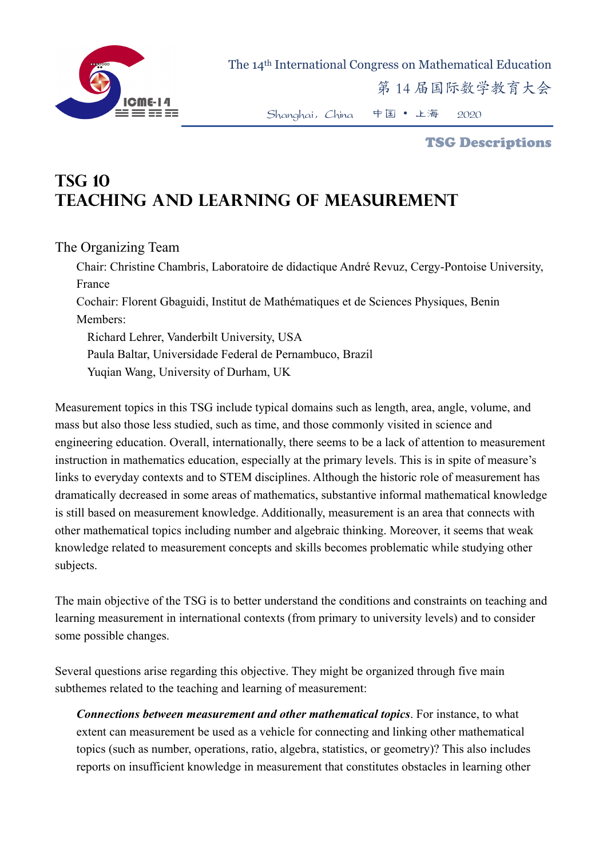

The 14th International Congress on Mathematical Education

第 14 届国际数学教育大会

Shanghai,China 中国 • 上海 2020

## TSG Descriptions

## **TSG 10 Teaching and learning of measurement**

## The Organizing Team

Chair: Christine Chambris, Laboratoire de didactique André Revuz, Cergy-Pontoise University, France

Cochair: Florent Gbaguidi, Institut de Mathématiques et de Sciences Physiques, Benin Members:

Richard Lehrer, Vanderbilt University, USA

Paula Baltar, Universidade Federal de Pernambuco, Brazil

Yuqian Wang, University of Durham, UK

Measurement topics in this TSG include typical domains such as length, area, angle, volume, and mass but also those less studied, such as time, and those commonly visited in science and engineering education. Overall, internationally, there seems to be a lack of attention to measurement instruction in mathematics education, especially at the primary levels. This is in spite of measure's links to everyday contexts and to STEM disciplines. Although the historic role of measurement has dramatically decreased in some areas of mathematics, substantive informal mathematical knowledge is still based on measurement knowledge. Additionally, measurement is an area that connects with other mathematical topics including number and algebraic thinking. Moreover, it seems that weak knowledge related to measurement concepts and skills becomes problematic while studying other subjects.

The main objective of the TSG is to better understand the conditions and constraints on teaching and learning measurement in international contexts (from primary to university levels) and to consider some possible changes.

Several questions arise regarding this objective. They might be organized through five main subthemes related to the teaching and learning of measurement:

*Connections between measurement and other mathematical topics*. For instance, to what extent can measurement be used as a vehicle for connecting and linking other mathematical topics (such as number, operations, ratio, algebra, statistics, or geometry)? This also includes reports on insufficient knowledge in measurement that constitutes obstacles in learning other